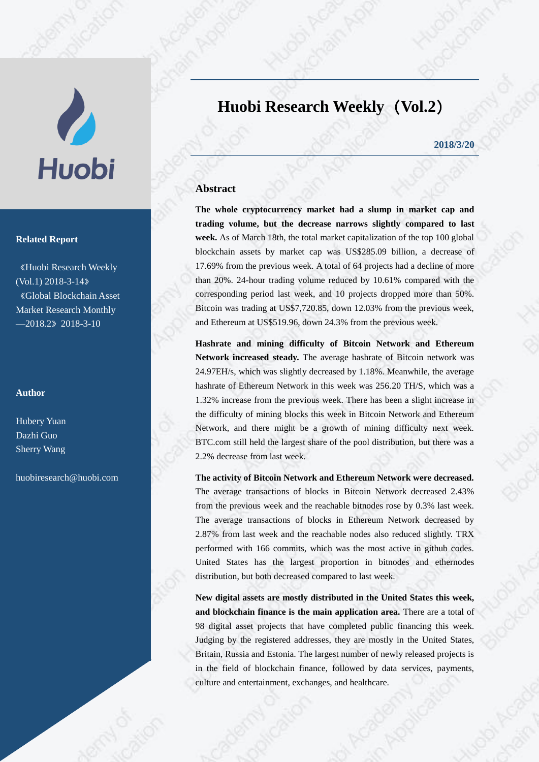# V **Huobi**

### **Related Report**

《Huobi Research Weekly (Vol.1) 2018-3-14》 《Global Blockchain Asset Market Research Monthly  $-2018.2$   $2018-3-10$ 

### **Author**

Hubery Yuan Dazhi Guo Sherry Wang

[huobiresearch@huobi.com](mailto:huobiresearch@huobi.com)

# **Huobi Research Weekly**(**Vol.2**)

**2018/3/20**

### **Abstract**

**The whole cryptocurrency market had a slump in market cap and trading volume, but the decrease narrows slightly compared to last week.** As of March 18th, the total market capitalization of the top 100 global blockchain assets by market cap was US\$285.09 billion, a decrease of 17.69% from the previous week. A total of 64 projects had a decline of more than 20%. 24-hour trading volume reduced by 10.61% compared with the corresponding period last week, and 10 projects dropped more than 50%. Bitcoin was trading at US\$7,720.85, down 12.03% from the previous week, and Ethereum at US\$519.96, down 24.3% from the previous week.

**Hashrate and mining difficulty of Bitcoin Network and Ethereum Network increased steady.** The average hashrate of Bitcoin network was 24.97EH/s, which was slightly decreased by 1.18%. Meanwhile, the average hashrate of Ethereum Network in this week was 256.20 TH/S, which was a 1.32% increase from the previous week. There has been a slight increase in the difficulty of mining blocks this week in Bitcoin Network and Ethereum Network, and there might be a growth of mining difficulty next week. BTC.com still held the largest share of the pool distribution, but there was a 2.2% decrease from last week.

**The activity of Bitcoin Network and Ethereum Network were decreased.**  The average transactions of blocks in Bitcoin Network decreased 2.43% from the previous week and the reachable bitnodes rose by 0.3% last week. The average transactions of blocks in Ethereum Network decreased by 2.87% from last week and the reachable nodes also reduced slightly. TRX performed with 166 commits, which was the most active in github codes. United States has the largest proportion in bitnodes and ethernodes distribution, but both decreased compared to last week.

**New digital assets are mostly distributed in the United States this week, and blockchain finance is the main application area.** There are a total of 98 digital asset projects that have completed public financing this week. Judging by the registered addresses, they are mostly in the United States, Britain, Russia and Estonia. The largest number of newly released projects is in the field of blockchain finance, followed by data services, payments, culture and entertainment, exchanges, and healthcare.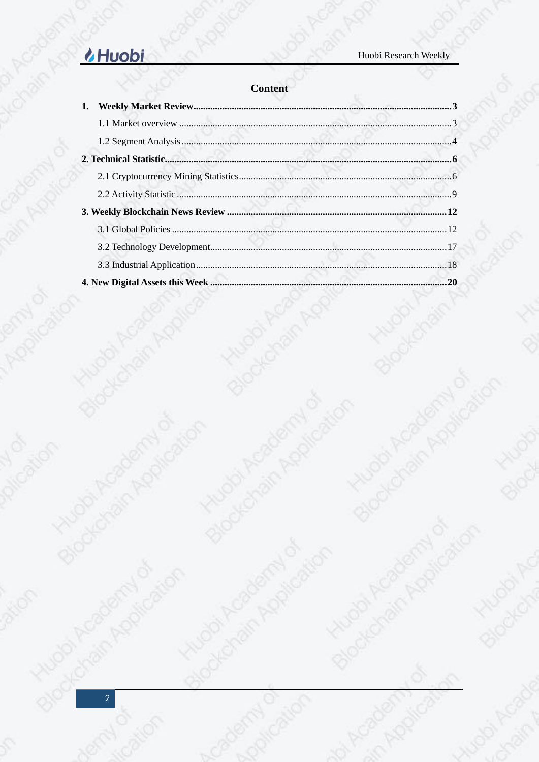# of Academy of & Huobi

Kitzaan Academy of

Altri Academy of

Blockchain Application

sin Amplication

**Hugoi Ad** 

Blockeha

sulimbi Acade

| <b>Content</b> |
|----------------|
|----------------|

| 1. | <b>Content</b> |
|----|----------------|
|    |                |
|    |                |
|    |                |
|    |                |
|    |                |
|    |                |
|    |                |
|    |                |
|    |                |
|    |                |
|    |                |
|    |                |
|    |                |
|    |                |

KNUODI ACADEMINION

**Hugoi Academy of** 

A cademy of

Stockchain Application

Scribberration

Blockchain Application

Batoc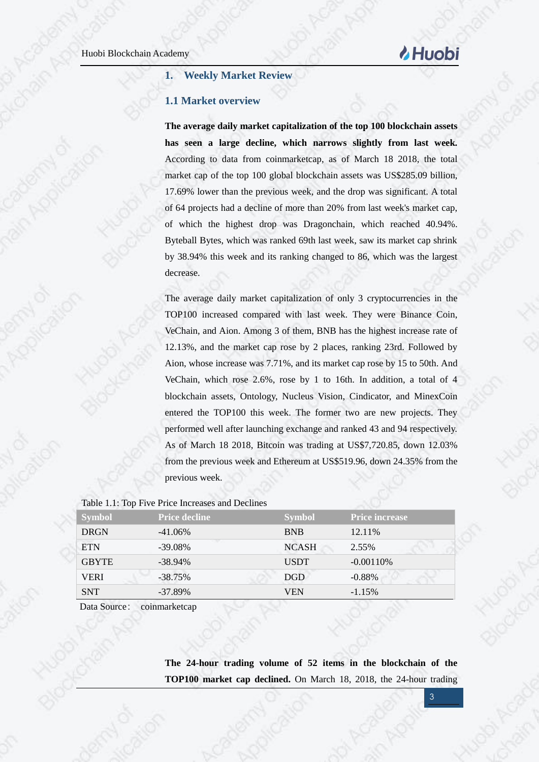# **Huobi**

### <span id="page-2-0"></span>**1. Weekly Market Review**

### <span id="page-2-1"></span>**1.1 Market overview**

**The average daily market capitalization of the top 100 blockchain assets has seen a large decline, which narrows slightly from last week.** According to data from coinmarketcap, as of March 18 2018, the total market cap of the top 100 global blockchain assets was US\$285.09 billion, 17.69% lower than the previous week, and the drop was significant. A total of 64 projects had a decline of more than 20% from last week's market cap, of which the highest drop was Dragonchain, which reached 40.94%. Byteball Bytes, which was ranked 69th last week, saw its market cap shrink by 38.94% this week and its ranking changed to 86, which was the largest decrease.

The average daily market capitalization of only 3 cryptocurrencies in the TOP100 increased compared with last week. They were Binance Coin, VeChain, and Aion. Among 3 of them, BNB has the highest increase rate of 12.13%, and the market cap rose by 2 places, ranking 23rd. Followed by Aion, whose increase was 7.71%, and its market cap rose by 15 to 50th. And VeChain, which rose 2.6%, rose by 1 to 16th. In addition, a total of 4 blockchain assets, Ontology, Nucleus Vision, Cindicator, and MinexCoin entered the TOP100 this week. The former two are new projects. They performed well after launching exchange and ranked 43 and 94 respectively. As of March 18 2018, Bitcoin was trading at US\$7,720.85, down 12.03% from the previous week and Ethereum at US\$519.96, down 24.35% from the previous week.

| <b>Symbol</b> | <b>Price decline</b> | <b>Symbol</b> | <b>Price increase</b> |
|---------------|----------------------|---------------|-----------------------|
| <b>DRGN</b>   | $-41.06\%$           | <b>BNB</b>    | 12.11\%               |
| <b>ETN</b>    | $-39.08\%$           | <b>NCASH</b>  | 2.55%                 |
| <b>GBYTE</b>  | $-38.94\%$           | <b>USDT</b>   | $-0.00110%$           |
| <b>VERI</b>   | $-38.75%$            | <b>DGD</b>    | $-0.88%$              |
| <b>SNT</b>    | $-37.89\%$           | VEN           | $-1.15%$              |

### Table 1.1: Top Five Price Increases and Declines

Data Source: coinmarketcap

**The 24-hour trading volume of 52 items in the blockchain of the TOP100 market cap declined.** On March 18, 2018, the 24-hour trading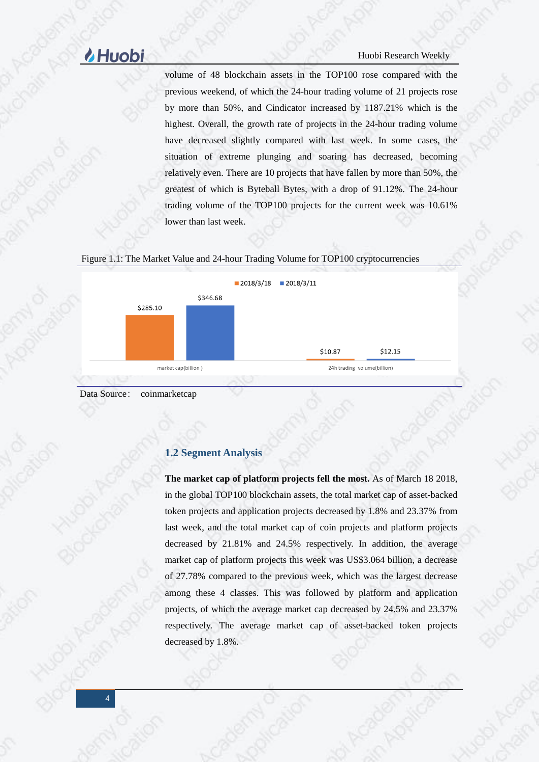volume of 48 blockchain assets in the TOP100 rose compared with the previous weekend, of which the 24-hour trading volume of 21 projects rose by more than 50%, and Cindicator increased by 1187.21% which is the highest. Overall, the growth rate of projects in the 24-hour trading volume have decreased slightly compared with last week. In some cases, the situation of extreme plunging and soaring has decreased, becoming relatively even. There are 10 projects that have fallen by more than 50%, the greatest of which is Byteball Bytes, with a drop of 91.12%. The 24-hour trading volume of the TOP100 projects for the current week was 10.61% lower than last week.

### Figure 1.1: The Market Value and 24-hour Trading Volume for TOP100 cryptocurrencies



<span id="page-3-0"></span>Data Source: coinmarketcap

### **1.2 Segment Analysis**

**The market cap of platform projects fell the most.** As of March 18 2018, in the global TOP100 blockchain assets, the total market cap of asset-backed token projects and application projects decreased by 1.8% and 23.37% from last week, and the total market cap of coin projects and platform projects decreased by 21.81% and 24.5% respectively. In addition, the average market cap of platform projects this week was US\$3.064 billion, a decrease of 27.78% compared to the previous week, which was the largest decrease among these 4 classes. This was followed by platform and application projects, of which the average market cap decreased by 24.5% and 23.37% respectively. The average market cap of asset-backed token projects decreased by 1.8%.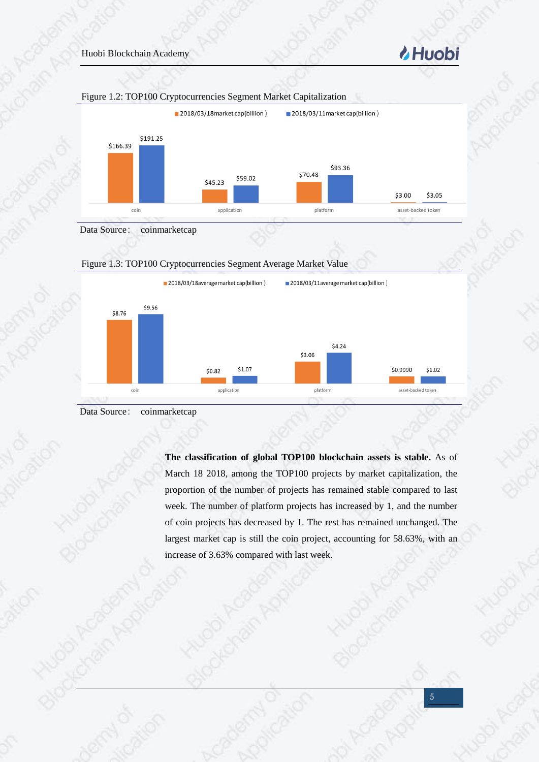







**The classification of global TOP100 blockchain assets is stable.** As of March 18 2018, among the TOP100 projects by market capitalization, the proportion of the number of projects has remained stable compared to last week. The number of platform projects has increased by 1, and the number of coin projects has decreased by 1. The rest has remained unchanged. The largest market cap is still the coin project, accounting for 58.63%, with an increase of 3.63% compared with last week.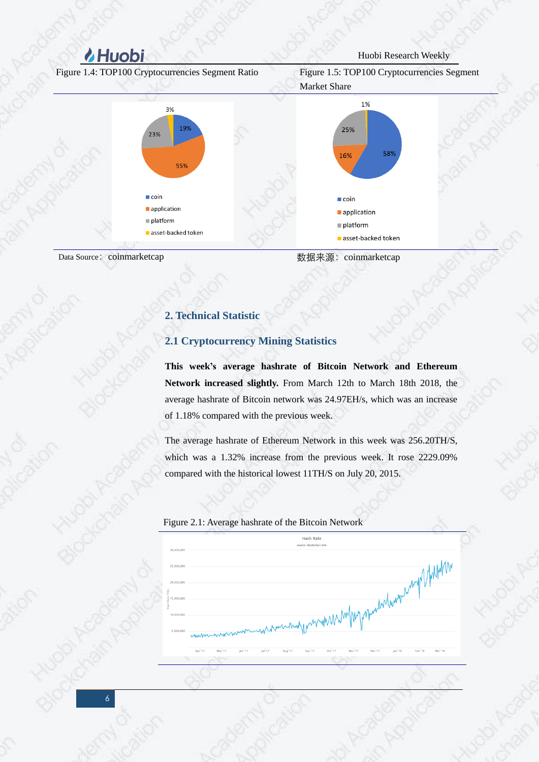Figure 1.4: TOP100 Cryptocurrencies Segment Ratio Figure 1.5: TOP100 Cryptocurrencies Segment





<span id="page-5-1"></span><span id="page-5-0"></span>

Data Source: coinmarketcap <br>
2008年末源: coinmarketcap <br>
2008年

### **2. Technical Statistic**

### **2.1 Cryptocurrency Mining Statistics**

**This week's average hashrate of Bitcoin Network and Ethereum Network increased slightly.** From March 12th to March 18th 2018, the average hashrate of Bitcoin network was 24.97EH/s, which was an increase of 1.18% compared with the previous week.

The average hashrate of Ethereum Network in this week was 256.20TH/S, which was a 1.32% increase from the previous week. It rose 2229.09% compared with the historical lowest 11TH/S on July 20, 2015.

Figure 2.1: Average hashrate of the Bitcoin Network

Hach Pate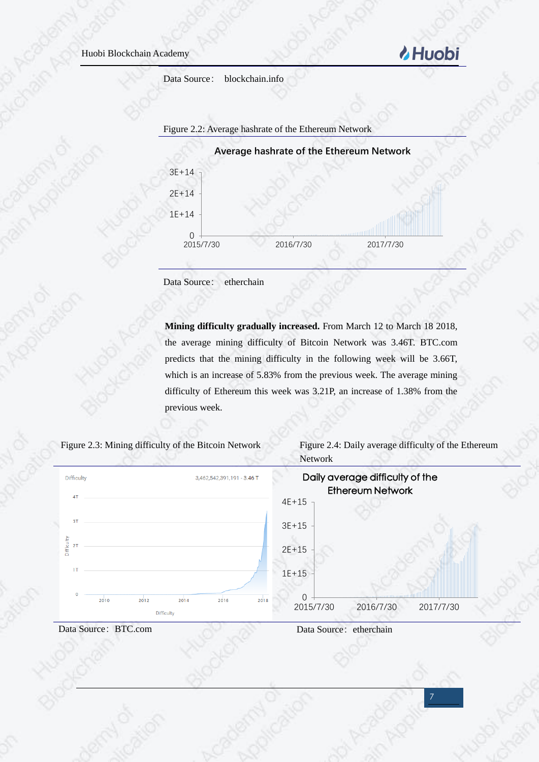Data Source: blockchain.info



Data Source: etherchain

**Mining difficulty gradually increased.** From March 12 to March 18 2018, the average mining difficulty of Bitcoin Network was 3.46T. BTC.com predicts that the mining difficulty in the following week will be 3.66T, which is an increase of 5.83% from the previous week. The average mining difficulty of Ethereum this week was 3.21P, an increase of 1.38% from the previous week.



Figure 2.3: Mining difficulty of the Bitcoin Network Figure 2.4: Daily average difficulty of the Ethereum **Network** 

*MHuobi* 





Data Source: BTC.com Data Source: etherchain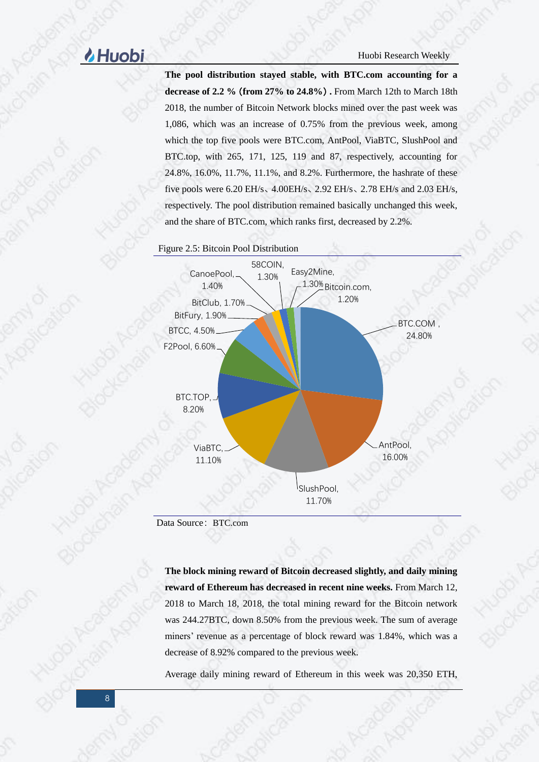**The pool distribution stayed stable, with BTC.com accounting for a decrease of 2.2 %**(**from 27% to 24.8%**)**.** From March 12th to March 18th 2018, the number of Bitcoin Network blocks mined over the past week was 1,086, which was an increase of 0.75% from the previous week, among which the top five pools were BTC.com, AntPool, ViaBTC, SlushPool and BTC.top, with 265, 171, 125, 119 and 87, respectively, accounting for 24.8%, 16.0%, 11.7%, 11.1%, and 8.2%. Furthermore, the hashrate of these five pools were 6.20 EH/s、4.00EH/s、2.92 EH/s、2.78 EH/s and 2.03 EH/s, respectively. The pool distribution remained basically unchanged this week, and the share of BTC.com, which ranks first, decreased by 2.2%.





Data Source: BTC.com

**The block mining reward of Bitcoin decreased slightly, and daily mining reward of Ethereum has decreased in recent nine weeks.** From March 12, 2018 to March 18, 2018, the total mining reward for the Bitcoin network was 244.27BTC, down 8.50% from the previous week. The sum of average miners' revenue as a percentage of block reward was 1.84%, which was a decrease of 8.92% compared to the previous week.

Average daily mining reward of Ethereum in this week was 20,350 ETH,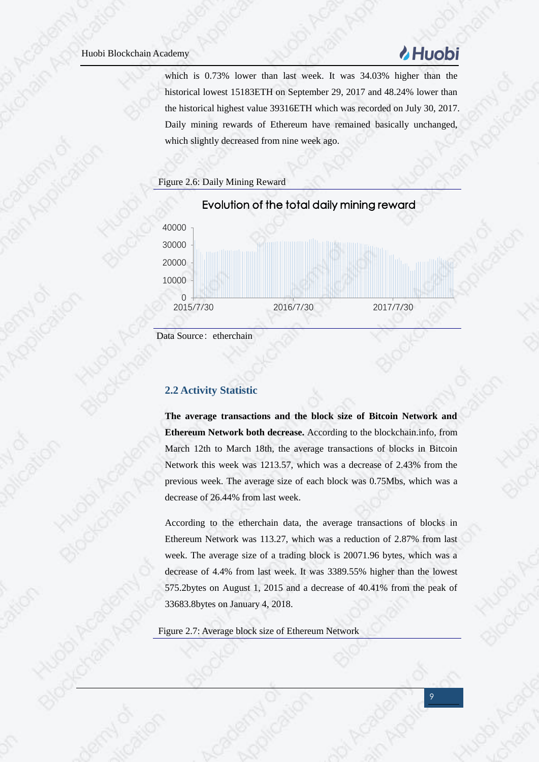# *MHuobi*

which is 0.73% lower than last week. It was 34.03% higher than the historical lowest 15183ETH on September 29, 2017 and 48.24% lower than the historical highest value 39316ETH which was recorded on July 30, 2017. Daily mining rewards of Ethereum have remained basically unchanged, which slightly decreased from nine week ago.





Data Source: etherchain

### <span id="page-8-0"></span>**2.2 Activity Statistic**

**The average transactions and the block size of Bitcoin Network and Ethereum Network both decrease.** According to the blockchain.info, from March 12th to March 18th, the average transactions of blocks in Bitcoin Network this week was 1213.57, which was a decrease of 2.43% from the previous week. The average size of each block was 0.75Mbs, which was a decrease of 26.44% from last week.

According to the etherchain data, the average transactions of blocks in Ethereum Network was 113.27, which was a reduction of 2.87% from last week. The average size of a trading block is 20071.96 bytes, which was a decrease of 4.4% from last week. It was 3389.55% higher than the lowest 575.2bytes on August 1, 2015 and a decrease of 40.41% from the peak of 33683.8bytes on January 4, 2018.

Figure 2.7: Average block size of Ethereum Network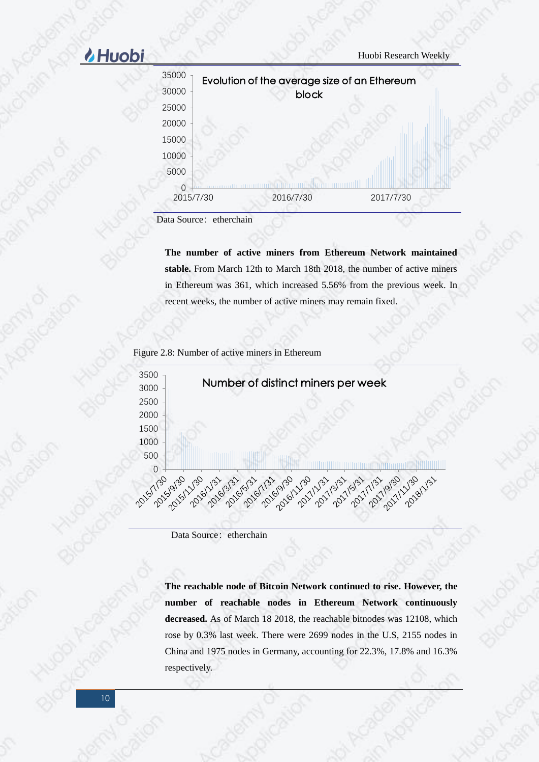# **A** Huobi Neekly



Data Source: etherchain

**The number of active miners from Ethereum Network maintained stable.** From March 12th to March 18th 2018, the number of active miners in Ethereum was 361, which increased 5.56% from the previous week. In recent weeks, the number of active miners may remain fixed.

Figure 2.8: Number of active miners in Ethereum



Data Source: etherchain

**The reachable node of Bitcoin Network continued to rise. However, the number of reachable nodes in Ethereum Network continuously decreased.** As of March 18 2018, the reachable bitnodes was 12108, which rose by 0.3% last week. There were 2699 nodes in the U.S, 2155 nodes in China and 1975 nodes in Germany, accounting for 22.3%, 17.8% and 16.3% respectively.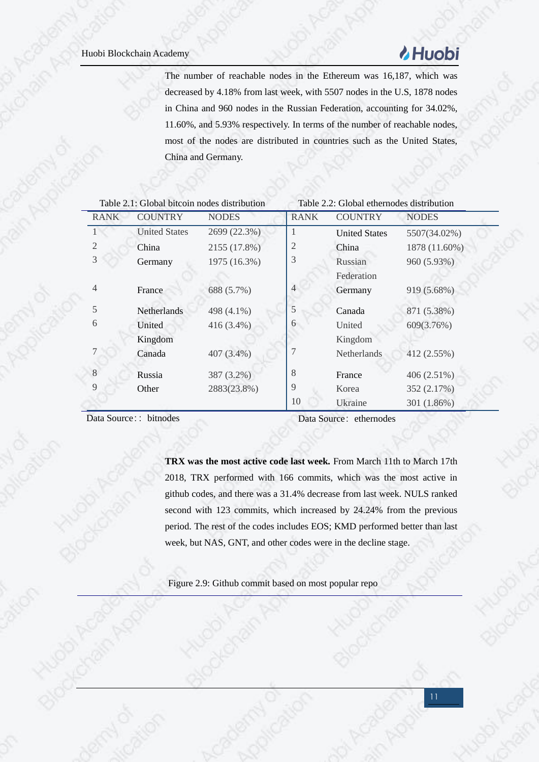# **& Huobi**

The number of reachable nodes in the Ethereum was 16,187, which was decreased by 4.18% from last week, with 5507 nodes in the U.S, 1878 nodes in China and 960 nodes in the Russian Federation, accounting for 34.02%, 11.60%, and 5.93% respectively. In terms of the number of reachable nodes, most of the nodes are distributed in countries such as the United States, China and Germany.

|                | Table 2.1: Global bitcoin nodes distribution |              |                | Table 2.2: Global ethernodes distribution |               |
|----------------|----------------------------------------------|--------------|----------------|-------------------------------------------|---------------|
| <b>RANK</b>    | <b>COUNTRY</b>                               | <b>NODES</b> | <b>RANK</b>    | <b>COUNTRY</b>                            | <b>NODES</b>  |
|                | <b>United States</b>                         | 2699 (22.3%) | п              | <b>United States</b>                      | 5507(34.02%)  |
| 2              | China                                        | 2155 (17.8%) | 2              | China                                     | 1878 (11.60%) |
| 3              | Germany                                      | 1975 (16.3%) | 3              | Russian                                   | 960 (5.93%)   |
|                |                                              |              |                | Federation                                |               |
| $\overline{4}$ | France                                       | 688 (5.7%)   | $\overline{4}$ | Germany                                   | 919 (5.68%)   |
| 5              | <b>Netherlands</b>                           | 498 (4.1%)   | 5              | Canada                                    | 871 (5.38%)   |
| 6              | United                                       | 416 (3.4%)   | 6              | United                                    | 609(3.76%)    |
|                | Kingdom                                      |              |                | Kingdom                                   |               |
|                | Canada                                       | 407 (3.4%)   |                | Netherlands                               | 412 (2.55%)   |
| 8              | Russia                                       | 387 (3.2%)   | 8              | France                                    | 406 (2.51%)   |
| 9              | Other                                        | 2883(23.8%)  | 9              | Korea                                     | 352 (2.17%)   |
|                |                                              |              | 10             | Ukraine                                   | 301 (1.86%)   |

Data Source:: bitnodes Data Source: ethernodes

**TRX was the most active code last week.** From March 11th to March 17th 2018, TRX performed with 166 commits, which was the most active in github codes, and there was a 31.4% decrease from last week. NULS ranked second with 123 commits, which increased by 24.24% from the previous period. The rest of the codes includes EOS; KMD performed better than last week, but NAS, GNT, and other codes were in the decline stage.

Figure 2.9: Github commit based on most popular repo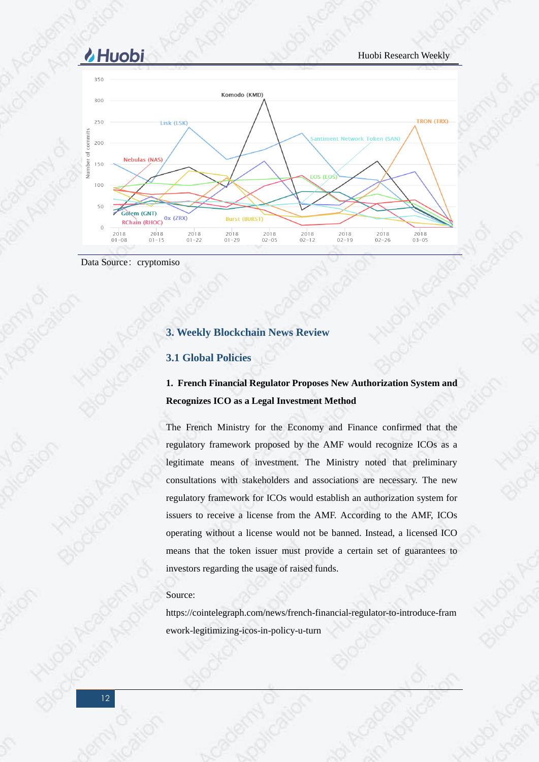

<span id="page-11-0"></span>Data Source: cryptomiso

### **3. Weekly Blockchain News Review**

### <span id="page-11-1"></span>**3.1 Global Policies**

### **1. French Financial Regulator Proposes New Authorization System and Recognizes ICO as a Legal Investment Method**

The French Ministry for the Economy and Finance confirmed that the regulatory framework proposed by the AMF would recognize ICOs as a legitimate means of investment. The Ministry noted that preliminary consultations with stakeholders and associations are necessary. The new regulatory framework for ICOs would establish an authorization system for issuers to receive a license from the AMF. According to the AMF, ICOs operating without a license would not be banned. Instead, a licensed ICO means that the token issuer must provide a certain set of guarantees to investors regarding the usage of raised funds.

### Source:

https://cointelegraph.com/news/french-financial-regulator-to-introduce-fram ework-legitimizing-icos-in-policy-u-turn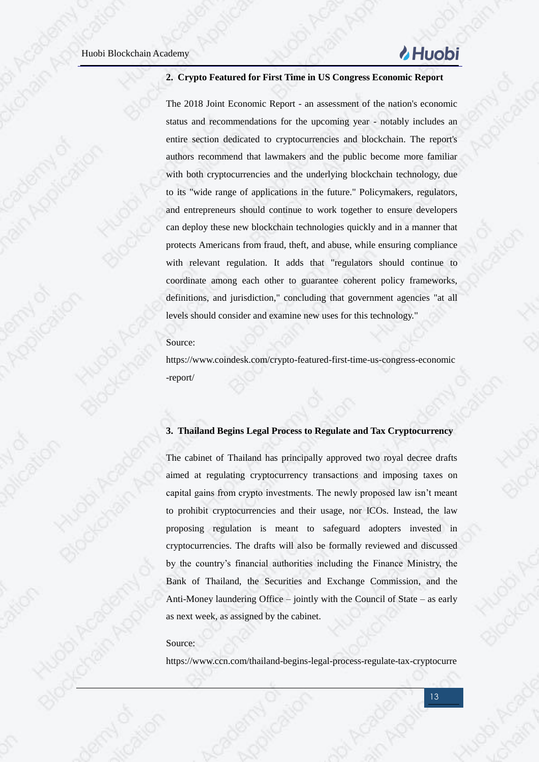# **Huobi**

### **2. Crypto Featured for First Time in US Congress Economic Report**

The 2018 Joint Economic Report - an assessment of the nation's economic status and recommendations for the upcoming year - notably includes an entire section dedicated to cryptocurrencies and blockchain. The report's authors recommend that lawmakers and the public become more familiar with both cryptocurrencies and the underlying blockchain technology, due to its "wide range of applications in the future." Policymakers, regulators, and entrepreneurs should continue to work together to ensure developers can deploy these new blockchain technologies quickly and in a manner that protects Americans from fraud, theft, and abuse, while ensuring compliance with relevant regulation. It adds that "regulators should continue to coordinate among each other to guarantee coherent policy frameworks, definitions, and jurisdiction," concluding that government agencies "at all levels should consider and examine new uses for this technology."

### Source:

https://www.coindesk.com/crypto-featured-first-time-us-congress-economic -report/

### **3. Thailand Begins Legal Process to Regulate and Tax Cryptocurrency**

The cabinet of Thailand has principally approved two royal decree drafts aimed at regulating cryptocurrency transactions and imposing taxes on capital gains from crypto investments. The newly proposed law isn't meant to prohibit cryptocurrencies and their usage, nor ICOs. Instead, the law proposing regulation is meant to safeguard adopters invested in cryptocurrencies. The drafts will also be formally reviewed and discussed by the country's financial authorities including the Finance Ministry, the Bank of Thailand, the Securities and Exchange Commission, and the Anti-Money laundering Office – jointly with the Council of State – as early as next week, as assigned by the cabinet.

### Source:

https://www.ccn.com/thailand-begins-legal-process-regulate-tax-cryptocurre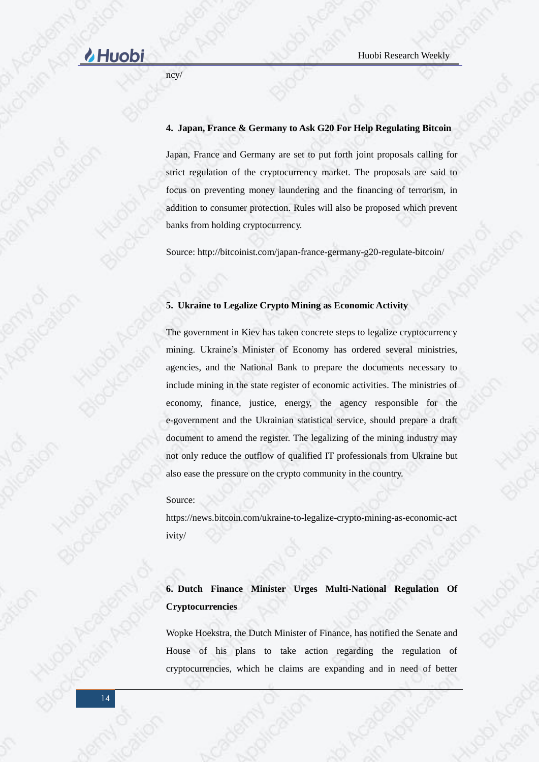# **Huobi** Research Weekly

ncy/

### **4. Japan, France & Germany to Ask G20 For Help Regulating Bitcoin**

Japan, France and Germany are set to put forth joint proposals calling for strict regulation of the cryptocurrency market. The proposals are said to focus on preventing money laundering and the financing of terrorism, in addition to consumer protection. Rules will also be proposed which prevent banks from holding cryptocurrency.

Source: http://bitcoinist.com/japan-france-germany-g20-regulate-bitcoin/

### **5. Ukraine to Legalize Crypto Mining as Economic Activity**

The government in Kiev has taken concrete steps to legalize cryptocurrency mining. Ukraine's Minister of Economy has ordered several ministries, agencies, and the National Bank to prepare the documents necessary to include mining in the state register of economic activities. The ministries of economy, finance, justice, energy, the agency responsible for the e-government and the Ukrainian statistical service, should prepare a draft document to amend the register. The legalizing of the mining industry may not only reduce the outflow of qualified IT professionals from Ukraine but also ease the pressure on the crypto community in the country.

Source:

https://news.bitcoin.com/ukraine-to-legalize-crypto-mining-as-economic-act ivity/

**6. Dutch Finance Minister Urges Multi-National Regulation Of Cryptocurrencies**

Wopke Hoekstra, the Dutch Minister of Finance, has notified the Senate and House of his plans to take action regarding the regulation of cryptocurrencies, which he claims are expanding and in need of better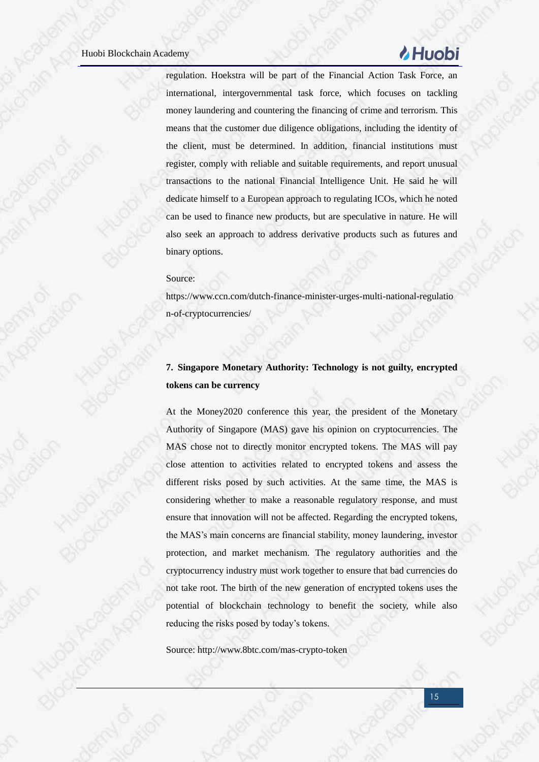# **Huobi**

regulation. Hoekstra will be part of the Financial Action Task Force, an international, intergovernmental task force, which focuses on tackling money laundering and countering the financing of crime and terrorism. This means that the customer due diligence obligations, including the identity of the client, must be determined. In addition, financial institutions must register, comply with reliable and suitable requirements, and report unusual transactions to the national Financial Intelligence Unit. He said he will dedicate himself to a European approach to regulating ICOs, which he noted can be used to finance new products, but are speculative in nature. He will also seek an approach to address derivative products such as futures and binary options.

### Source:

https://www.ccn.com/dutch-finance-minister-urges-multi-national-regulatio n-of-cryptocurrencies/

### **7. Singapore Monetary Authority: Technology is not guilty, encrypted tokens can be currency**

At the Money2020 conference this year, the president of the Monetary Authority of Singapore (MAS) gave his opinion on cryptocurrencies. The MAS chose not to directly monitor encrypted tokens. The MAS will pay close attention to activities related to encrypted tokens and assess the different risks posed by such activities. At the same time, the MAS is considering whether to make a reasonable regulatory response, and must ensure that innovation will not be affected. Regarding the encrypted tokens, the MAS's main concerns are financial stability, money laundering, investor protection, and market mechanism. The regulatory authorities and the cryptocurrency industry must work together to ensure that bad currencies do not take root. The birth of the new generation of encrypted tokens uses the potential of blockchain technology to benefit the society, while also reducing the risks posed by today's tokens.

Source: http://www.8btc.com/mas-crypto-token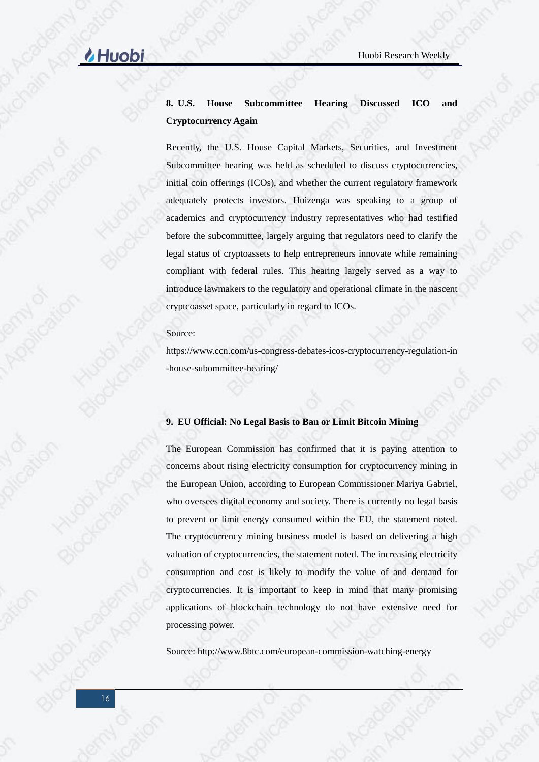### **8. U.S. House Subcommittee Hearing Discussed ICO and Cryptocurrency Again**

Recently, the U.S. House Capital Markets, Securities, and Investment Subcommittee hearing was held as scheduled to discuss cryptocurrencies, initial coin offerings (ICOs), and whether the current regulatory framework adequately protects investors. Huizenga was speaking to a group of academics and cryptocurrency industry representatives who had testified before the subcommittee, largely arguing that regulators need to clarify the legal status of cryptoassets to help entrepreneurs innovate while remaining compliant with federal rules. This hearing largely served as a way to introduce lawmakers to the regulatory and operational climate in the nascent cryptcoasset space, particularly in regard to ICOs.

### Source:

https://www.ccn.com/us-congress-debates-icos-cryptocurrency-regulation-in -house-subommittee-hearing/

### **9. EU Official: No Legal Basis to Ban or Limit Bitcoin Mining**

The European Commission has confirmed that it is paying attention to concerns about rising electricity consumption for cryptocurrency mining in the European Union, according to European Commissioner Mariya Gabriel, who oversees digital economy and society. There is currently no legal basis to prevent or limit energy consumed within the EU, the statement noted. The cryptocurrency mining business model is based on delivering a high valuation of cryptocurrencies, the statement noted. The increasing electricity consumption and cost is likely to modify the value of and demand for cryptocurrencies. It is important to keep in mind that many promising applications of blockchain technology do not have extensive need for processing power.

Source: http://www.8btc.com/european-commission-watching-energy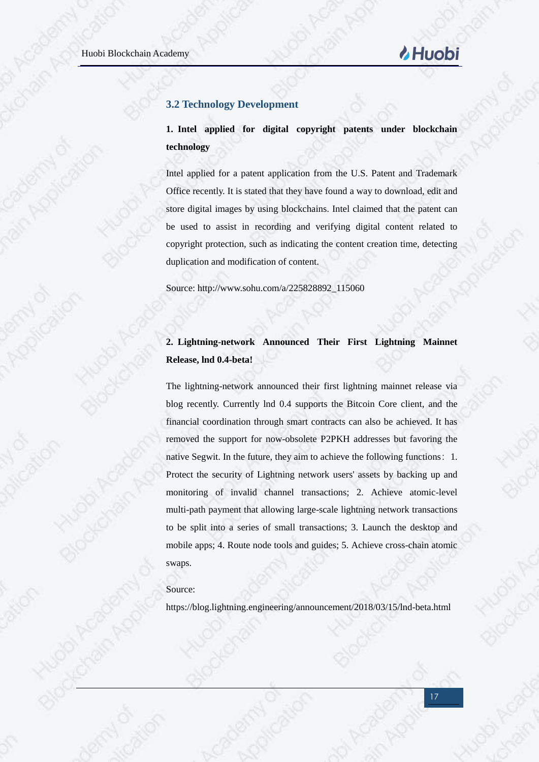### <span id="page-16-0"></span>**3.2 Technology Development**

**1. Intel applied for digital copyright patents under blockchain technology**

Intel applied for a patent application from the U.S. Patent and Trademark Office recently. It is stated that they have found a way to download, edit and store digital images by using blockchains. Intel claimed that the patent can be used to assist in recording and verifying digital content related to copyright protection, such as indicating the content creation time, detecting duplication and modification of content.

Source: http://www.sohu.com/a/225828892\_115060

### **2. Lightning-network Announced Their First Lightning Mainnet Release, lnd 0.4-beta!**

The lightning-network announced their first lightning mainnet release via blog recently. Currently lnd 0.4 supports the Bitcoin Core client, and the financial coordination through smart contracts can also be achieved. It has removed the support for now-obsolete P2PKH addresses but favoring the native Segwit. In the future, they aim to achieve the following functions: 1. Protect the security of Lightning network users' assets by backing up and monitoring of invalid channel transactions; 2. Achieve atomic-level multi-path payment that allowing large-scale lightning network transactions to be split into a series of small transactions; 3. Launch the desktop and mobile apps; 4. Route node tools and guides; 5. Achieve cross-chain atomic swaps.

### Source:

https://blog.lightning.engineering/announcement/2018/03/15/lnd-beta.html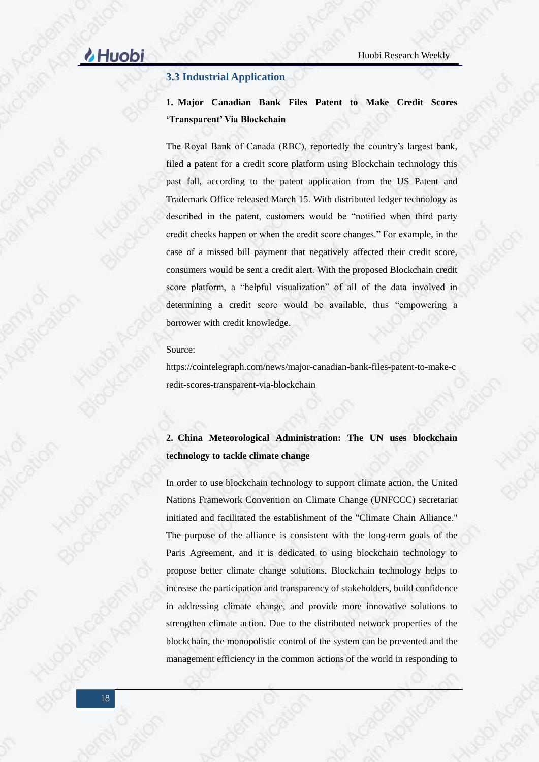### <span id="page-17-0"></span>**3.3 Industrial Application**

**1. Major Canadian Bank Files Patent to Make Credit Scores 'Transparent' Via Blockchain**

The Royal Bank of Canada (RBC), reportedly the country's largest bank, filed a patent for a credit score platform using Blockchain technology this past fall, according to the patent application from the US Patent and Trademark Office released March 15. With distributed ledger technology as described in the patent, customers would be "notified when third party credit checks happen or when the credit score changes." For example, in the case of a missed bill payment that negatively affected their credit score, consumers would be sent a credit alert. With the proposed Blockchain credit score platform, a "helpful visualization" of all of the data involved in determining a credit score would be available, thus "empowering a borrower with credit knowledge.

Source:

https://cointelegraph.com/news/major-canadian-bank-files-patent-to-make-c redit-scores-transparent-via-blockchain

### **2. China Meteorological Administration: The UN uses blockchain technology to tackle climate change**

In order to use blockchain technology to support climate action, the United Nations Framework Convention on Climate Change (UNFCCC) secretariat initiated and facilitated the establishment of the "Climate Chain Alliance." The purpose of the alliance is consistent with the long-term goals of the Paris Agreement, and it is dedicated to using blockchain technology to propose better climate change solutions. Blockchain technology helps to increase the participation and transparency of stakeholders, build confidence in addressing climate change, and provide more innovative solutions to strengthen climate action. Due to the distributed network properties of the blockchain, the monopolistic control of the system can be prevented and the management efficiency in the common actions of the world in responding to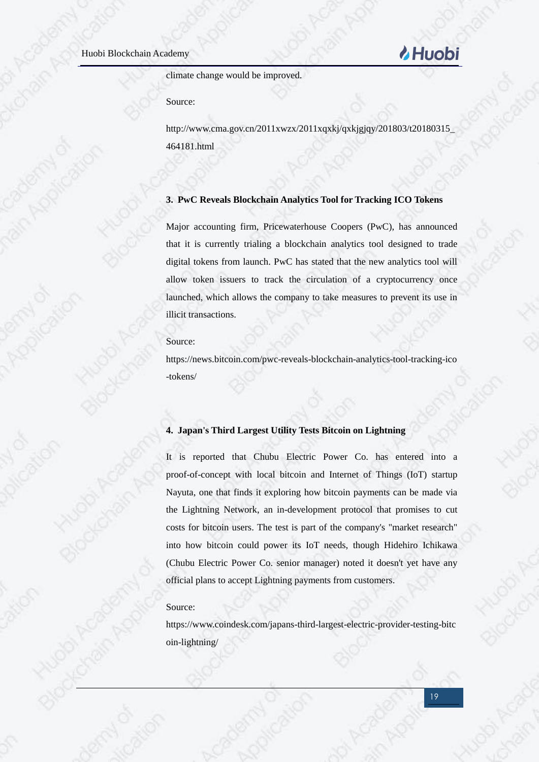

climate change would be improved.

Source:

http://www.cma.gov.cn/2011xwzx/2011xqxkj/qxkjgjqy/201803/t20180315\_ 464181.html

### **3. PwC Reveals Blockchain Analytics Tool for Tracking ICO Tokens**

Major accounting firm, Pricewaterhouse Coopers (PwC), has announced that it is currently trialing a blockchain analytics tool designed to trade digital tokens from launch. PwC has stated that the new analytics tool will allow token issuers to track the circulation of a cryptocurrency once launched, which allows the company to take measures to prevent its use in illicit transactions.

### Source:

https://news.bitcoin.com/pwc-reveals-blockchain-analytics-tool-tracking-ico -tokens/

### **4. Japan's Third Largest Utility Tests Bitcoin on Lightning**

It is reported that Chubu Electric Power Co. has entered into a proof-of-concept with local bitcoin and Internet of Things (IoT) startup Nayuta, one that finds it exploring how bitcoin payments can be made via the Lightning Network, an in-development protocol that promises to cut costs for bitcoin users. The test is part of the company's "market research" into how bitcoin could power its IoT needs, though Hidehiro Ichikawa (Chubu Electric Power Co. senior manager) noted it doesn't yet have any official plans to accept Lightning payments from customers.

### Source:

https://www.coindesk.com/japans-third-largest-electric-provider-testing-bitc oin-lightning/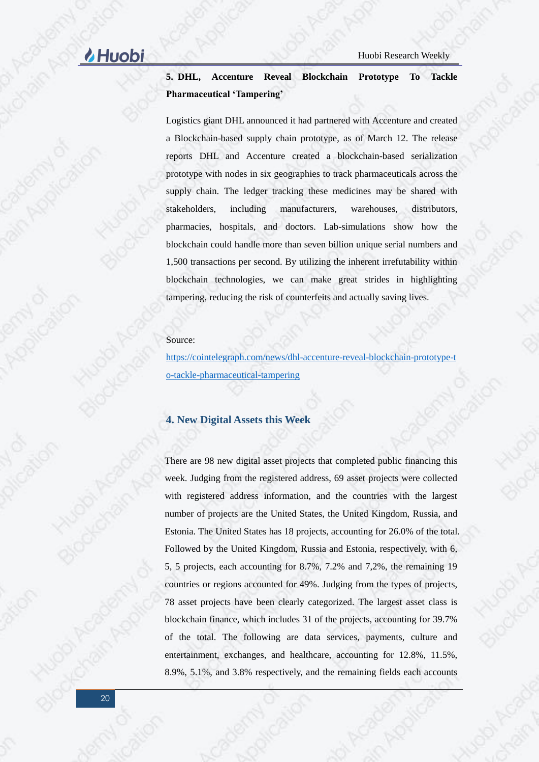### **5. DHL, Accenture Reveal Blockchain Prototype To Tackle Pharmaceutical 'Tampering'**

Logistics giant DHL announced it had partnered with Accenture and created a Blockchain-based supply chain prototype, as of March 12. The release reports DHL and Accenture created a blockchain-based serialization prototype with nodes in six geographies to track pharmaceuticals across the supply chain. The ledger tracking these medicines may be shared with stakeholders, including manufacturers, warehouses, distributors, pharmacies, hospitals, and doctors. Lab-simulations show how the blockchain could handle more than seven billion unique serial numbers and 1,500 transactions per second. By utilizing the inherent irrefutability within blockchain technologies, we can make great strides in highlighting tampering, reducing the risk of counterfeits and actually saving lives.

### Source:

[https://cointelegraph.com/news/dhl-accenture-reveal-blockchain-prototype-t](https://cointelegraph.com/news/dhl-accenture-reveal-blockchain-prototype-to-tackle-pharmaceutical-tampering) [o-tackle-pharmaceutical-tampering](https://cointelegraph.com/news/dhl-accenture-reveal-blockchain-prototype-to-tackle-pharmaceutical-tampering)

### <span id="page-19-0"></span>**4. New Digital Assets this Week**

There are 98 new digital asset projects that completed public financing this week. Judging from the registered address, 69 asset projects were collected with registered address information, and the countries with the largest number of projects are the United States, the United Kingdom, Russia, and Estonia. The United States has 18 projects, accounting for 26.0% of the total. Followed by the United Kingdom, Russia and Estonia, respectively, with 6, 5, 5 projects, each accounting for 8.7%, 7.2% and 7,2%, the remaining 19 countries or regions accounted for 49%. Judging from the types of projects, 78 asset projects have been clearly categorized. The largest asset class is blockchain finance, which includes 31 of the projects, accounting for 39.7% of the total. The following are data services, payments, culture and entertainment, exchanges, and healthcare, accounting for 12.8%, 11.5%, 8.9%, 5.1%, and 3.8% respectively, and the remaining fields each accounts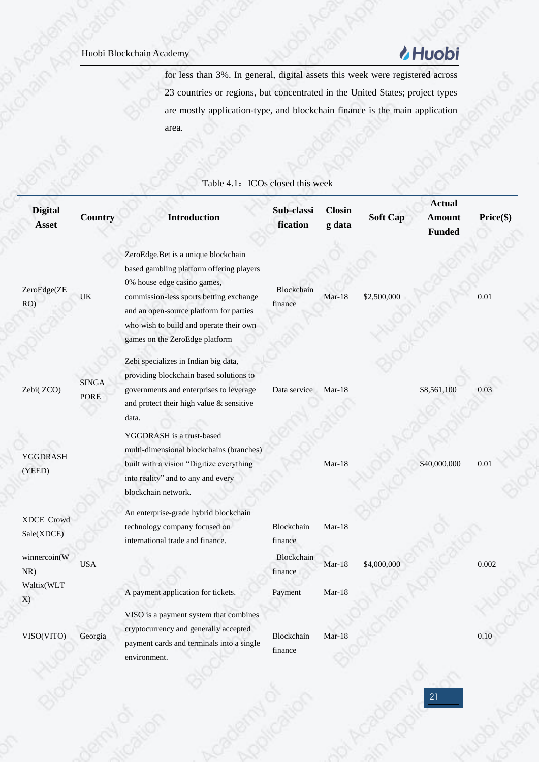# *MHuobi*

for less than 3%. In general, digital assets this week were registered across 23 countries or regions, but concentrated in the United States; project types are mostly application-type, and blockchain finance is the main application area.

| <b>Country</b>       | <b>Introduction</b>                                                                                                                                                                                                                                                               | Sub-classi<br>fication | <b>Closin</b><br>g data | <b>Soft Cap</b> | <b>Actual</b><br><b>Amount</b><br><b>Funded</b> | Price(\$) |
|----------------------|-----------------------------------------------------------------------------------------------------------------------------------------------------------------------------------------------------------------------------------------------------------------------------------|------------------------|-------------------------|-----------------|-------------------------------------------------|-----------|
| UK                   | ZeroEdge.Bet is a unique blockchain<br>based gambling platform offering players<br>0% house edge casino games,<br>commission-less sports betting exchange<br>and an open-source platform for parties<br>who wish to build and operate their own<br>games on the ZeroEdge platform | Blockchain<br>finance  | $Mar-18$                | \$2,500,000     |                                                 | 0.01      |
| <b>SINGA</b><br>PORE | Zebi specializes in Indian big data,<br>providing blockchain based solutions to<br>governments and enterprises to leverage<br>and protect their high value & sensitive<br>data.                                                                                                   | Data service           | $Mar-18$                |                 | \$8,561,100                                     | 0.03      |
|                      | YGGDRASH is a trust-based<br>multi-dimensional blockchains (branches)<br>built with a vision "Digitize everything<br>into reality" and to any and every<br>blockchain network.                                                                                                    |                        | $Mar-18$                |                 | \$40,000,000                                    | 0.01      |
|                      | An enterprise-grade hybrid blockchain<br>technology company focused on<br>international trade and finance.                                                                                                                                                                        | Blockchain<br>finance  | Mar-18                  |                 |                                                 |           |
| <b>USA</b>           |                                                                                                                                                                                                                                                                                   | Blockchain<br>finance  | $Mar-18$                | \$4,000,000     |                                                 | 0.002     |
|                      | A payment application for tickets.                                                                                                                                                                                                                                                | Payment                | $Mar-18$                |                 |                                                 |           |
| Georgia              | VISO is a payment system that combines<br>cryptocurrency and generally accepted<br>payment cards and terminals into a single<br>environment.                                                                                                                                      | Blockchain<br>finance  | $Mar-18$                |                 |                                                 | 0.10      |
|                      |                                                                                                                                                                                                                                                                                   |                        |                         |                 |                                                 |           |

### Table 4.1: ICOs closed this week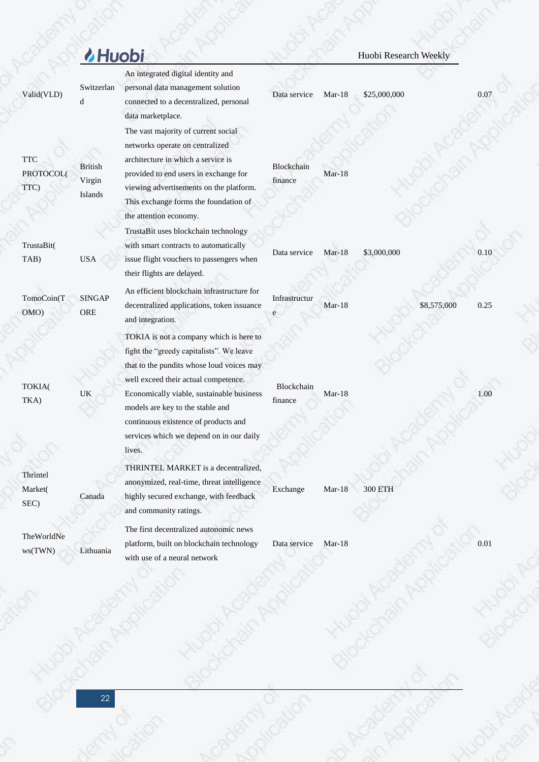# Muobi Research Weekly

|                                 |                                     | An integrated digital identity and                                                                                                                                                                                                                                                                                                                      |                       |          |                |             |      |
|---------------------------------|-------------------------------------|---------------------------------------------------------------------------------------------------------------------------------------------------------------------------------------------------------------------------------------------------------------------------------------------------------------------------------------------------------|-----------------------|----------|----------------|-------------|------|
| Valid(VLD)                      | Switzerlan<br>d                     | personal data management solution<br>connected to a decentralized, personal<br>data marketplace.                                                                                                                                                                                                                                                        | Data service          | $Mar-18$ | \$25,000,000   |             | 0.07 |
| <b>TTC</b><br>PROTOCOL(<br>TTC) | <b>British</b><br>Virgin<br>Islands | The vast majority of current social<br>networks operate on centralized<br>architecture in which a service is<br>provided to end users in exchange for<br>viewing advertisements on the platform.<br>This exchange forms the foundation of<br>the attention economy.                                                                                     | Blockchain<br>finance | $Mar-18$ |                |             |      |
| TrustaBit(<br>TAB)              | <b>USA</b>                          | TrustaBit uses blockchain technology<br>with smart contracts to automatically<br>issue flight vouchers to passengers when<br>their flights are delayed.                                                                                                                                                                                                 | Data service          | $Mar-18$ | \$3,000,000    |             | 0.10 |
| TomoCoin(T<br>OMO)              | <b>SINGAP</b><br>ORE                | An efficient blockchain infrastructure for<br>decentralized applications, token issuance<br>and integration.                                                                                                                                                                                                                                            | Infrastructur         | $Mar-18$ |                | \$8,575,000 | 0.25 |
| TOKIA(<br>TKA)                  | UK                                  | TOKIA is not a company which is here to<br>fight the "greedy capitalists". We leave<br>that to the pundits whose loud voices may<br>well exceed their actual competence.<br>Economically viable, sustainable business<br>models are key to the stable and<br>continuous existence of products and<br>services which we depend on in our daily<br>lives. | Blockchain<br>finance | $Mar-18$ |                |             | 1.00 |
| гипист<br>Market(<br>SEC)       | Canada                              | THRINTEL MARKET is a decentralized,<br>anonymized, real-time, threat intelligence<br>highly secured exchange, with feedback<br>and community ratings.                                                                                                                                                                                                   | Exchange              | $Mar-18$ | <b>300 ETH</b> |             |      |
| TheWorldNe<br>ws(TWN)           | Lithuania                           | The first decentralized autonomic news<br>platform, built on blockchain technology<br>with use of a neural network                                                                                                                                                                                                                                      | Data service          | $Mar-18$ |                |             | 0.01 |
|                                 |                                     |                                                                                                                                                                                                                                                                                                                                                         |                       |          |                |             |      |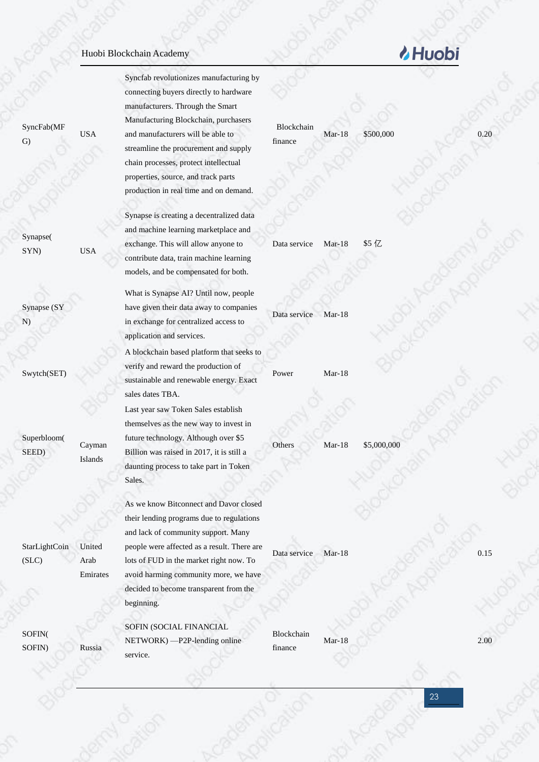| SyncFab(MF<br>$\mathbf{G}$ | <b>USA</b>                 | Syncfab revolutionizes manufacturing by<br>connecting buyers directly to hardware<br>manufacturers. Through the Smart<br>Manufacturing Blockchain, purchasers<br>and manufacturers will be able to<br>streamline the procurement and supply<br>chain processes, protect intellectual<br>properties, source, and track parts<br>production in real time and on demand. | Blockchain<br>finance | $Mar-18$ | \$500,000   | 0.20 |
|----------------------------|----------------------------|-----------------------------------------------------------------------------------------------------------------------------------------------------------------------------------------------------------------------------------------------------------------------------------------------------------------------------------------------------------------------|-----------------------|----------|-------------|------|
| Synapse(<br>SYN)           | <b>USA</b>                 | Synapse is creating a decentralized data<br>and machine learning marketplace and<br>exchange. This will allow anyone to<br>contribute data, train machine learning<br>models, and be compensated for both.                                                                                                                                                            | Data service          | $Mar-18$ | \$5亿        |      |
| Synapse (SY<br>N)          |                            | What is Synapse AI? Until now, people<br>have given their data away to companies<br>in exchange for centralized access to<br>application and services.                                                                                                                                                                                                                | Data service          | $Mar-18$ |             |      |
| Swytch(SET)                |                            | A blockchain based platform that seeks to<br>verify and reward the production of<br>sustainable and renewable energy. Exact<br>sales dates TBA.                                                                                                                                                                                                                       | Power                 | $Mar-18$ |             |      |
| Superbloom(<br>SEED)       | Cayman<br>Islands          | Last year saw Token Sales establish<br>themselves as the new way to invest in<br>future technology. Although over \$5<br>Billion was raised in 2017, it is still a<br>daunting process to take part in Token<br>Sales.                                                                                                                                                | Others                | $Mar-18$ | \$5,000,000 |      |
| StarLightCoin<br>(SLC)     | United<br>Arab<br>Emirates | As we know Bitconnect and Davor closed<br>their lending programs due to regulations<br>and lack of community support. Many<br>people were affected as a result. There are<br>lots of FUD in the market right now. To<br>avoid harming community more, we have<br>decided to become transparent from the<br>beginning.                                                 | Data service          | $Mar-18$ |             | 0.15 |
| SOFIN(<br>SOFIN)           | Russia                     | SOFIN (SOCIAL FINANCIAL<br>NETWORK) - P2P-lending online<br>service.                                                                                                                                                                                                                                                                                                  | Blockchain<br>finance | $Mar-18$ |             | 2.00 |

# LHuobi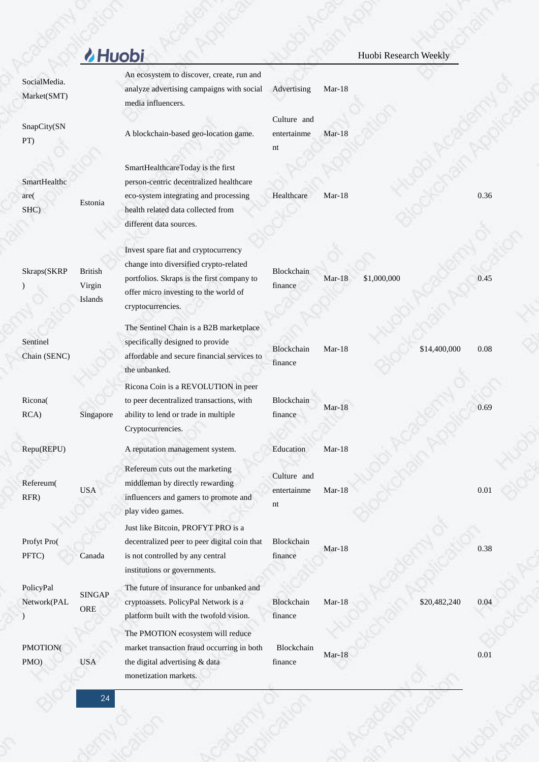|                              | <b>Huobi</b>                        |                                                                                                                                                                                            |                                  |          | Huobi Research Weekly |              |      |
|------------------------------|-------------------------------------|--------------------------------------------------------------------------------------------------------------------------------------------------------------------------------------------|----------------------------------|----------|-----------------------|--------------|------|
| SocialMedia.<br>Market(SMT)  |                                     | An ecosystem to discover, create, run and<br>analyze advertising campaigns with social<br>media influencers.                                                                               | Advertising                      | $Mar-18$ |                       |              |      |
| SnapCity(SN<br>PT)           |                                     | A blockchain-based geo-location game.                                                                                                                                                      | Culture and<br>entertainme<br>nt | $Mar-18$ |                       |              |      |
| SmartHealthc<br>are(<br>SHC) | Estonia                             | SmartHealthcareToday is the first<br>person-centric decentralized healthcare<br>eco-system integrating and processing<br>health related data collected from<br>different data sources.     | Healthcare                       | $Mar-18$ |                       |              | 0.36 |
| Skraps(SKRP                  | <b>British</b><br>Virgin<br>Islands | Invest spare fiat and cryptocurrency<br>change into diversified crypto-related<br>portfolios. Skraps is the first company to<br>offer micro investing to the world of<br>cryptocurrencies. | Blockchain<br>finance            | $Mar-18$ | \$1,000,000           |              | 0.45 |
| Sentinel<br>Chain (SENC)     |                                     | The Sentinel Chain is a B2B marketplace<br>specifically designed to provide<br>affordable and secure financial services to<br>the unbanked.                                                | Blockchain<br>finance            | $Mar-18$ |                       | \$14,400,000 | 0.08 |
| Ricona(<br>RCA)              | Singapore                           | Ricona Coin is a REVOLUTION in peer<br>to peer decentralized transactions, with<br>ability to lend or trade in multiple<br>Cryptocurrencies.                                               | Blockchain<br>finance            | $Mar-18$ |                       |              | 0.69 |
| Repu(REPU)                   |                                     | A reputation management system.                                                                                                                                                            | Education                        | Mar-18   |                       |              |      |
| Refereum(<br>RFR)            | <b>USA</b>                          | Refereum cuts out the marketing<br>middleman by directly rewarding<br>influencers and gamers to promote and<br>play video games.                                                           | Culture and<br>entertainme<br>nt | $Mar-18$ |                       |              | 0.01 |
| Profyt Pro(<br>PFTC)         | Canada                              | Just like Bitcoin, PROFYT PRO is a<br>decentralized peer to peer digital coin that<br>is not controlled by any central<br>institutions or governments.                                     | Blockchain<br>finance            | $Mar-18$ |                       |              | 0.38 |
| PolicyPal<br>Network(PAL     | <b>SINGAP</b><br>ORE                | The future of insurance for unbanked and<br>cryptoassets. PolicyPal Network is a<br>platform built with the twofold vision.                                                                | Blockchain<br>finance            | Mar-18   |                       | \$20,482,240 | 0.04 |
| PMOTION(<br>PMO)             | <b>USA</b>                          | The PMOTION ecosystem will reduce<br>market transaction fraud occurring in both<br>the digital advertising & data<br>monetization markets.                                                 | Blockchain<br>finance            | $Mar-18$ |                       |              | 0.01 |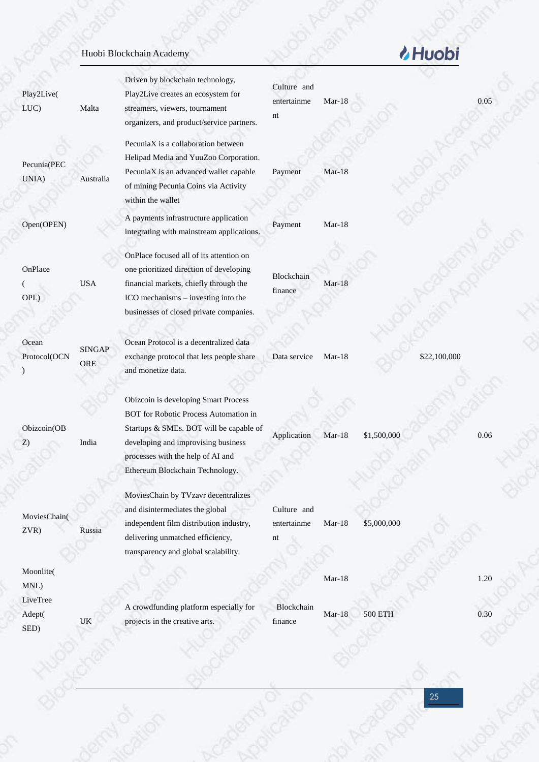|                       |                                   | Huobi Blockchain Academy                                                                                                                                                                                                                |                                  |          |                | <b><i>M</i></b> Huobi |      |
|-----------------------|-----------------------------------|-----------------------------------------------------------------------------------------------------------------------------------------------------------------------------------------------------------------------------------------|----------------------------------|----------|----------------|-----------------------|------|
| Play2Live(<br>LUC)    | Malta                             | Driven by blockchain technology,<br>Play2Live creates an ecosystem for<br>streamers, viewers, tournament<br>organizers, and product/service partners.                                                                                   | Culture and<br>entertainme<br>nt | Mar-18   |                |                       | 0.05 |
| Pecunia(PEC<br>UNIA)  | Australia                         | PecuniaX is a collaboration between<br>Helipad Media and YuuZoo Corporation.<br>PecuniaX is an advanced wallet capable<br>of mining Pecunia Coins via Activity<br>within the wallet                                                     | Payment                          | $Mar-18$ |                |                       |      |
| Open(OPEN)            |                                   | A payments infrastructure application<br>integrating with mainstream applications.                                                                                                                                                      | Payment                          | $Mar-18$ |                |                       |      |
| OnPlace<br>OPL)       | <b>USA</b>                        | OnPlace focused all of its attention on<br>one prioritized direction of developing<br>financial markets, chiefly through the<br>ICO mechanisms - investing into the<br>businesses of closed private companies.                          | Blockchain<br>finance            | $Mar-18$ |                |                       |      |
| Ocean<br>Protocol(OCN | <b>SINGAP</b><br>ORE              | Ocean Protocol is a decentralized data<br>exchange protocol that lets people share<br>and monetize data.                                                                                                                                | Data service                     | $Mar-18$ |                | \$22,100,000          |      |
| Obizcoin(OB<br>Z)     | India                             | Obizcoin is developing Smart Process<br>BOT for Robotic Process Automation in<br>Startups & SMEs. BOT will be capable of<br>developing and improvising business<br>processes with the help of AI and<br>Ethereum Blockchain Technology. | Application                      | Mar-18   | \$1,500,000    |                       | 0.06 |
| MoviesChain(<br>ZVR)  | Russia                            | MoviesChain by TVzavr decentralizes<br>and disintermediates the global<br>independent film distribution industry,<br>delivering unmatched efficiency,<br>transparency and global scalability.                                           | Culture and<br>entertainme<br>nt | $Mar-18$ | \$5,000,000    |                       |      |
| Moonlite(<br>MNL)     |                                   |                                                                                                                                                                                                                                         |                                  | $Mar-18$ |                |                       | 1.20 |
| LiveTree<br>Adept(    | $\ensuremath{\mathsf{UK}}\xspace$ | A crowdfunding platform especially for<br>projects in the creative arts.                                                                                                                                                                | Blockchain<br>finance            | $Mar-18$ | <b>500 ETH</b> |                       | 0.30 |

Acebamy of pilot

Hugoi Agin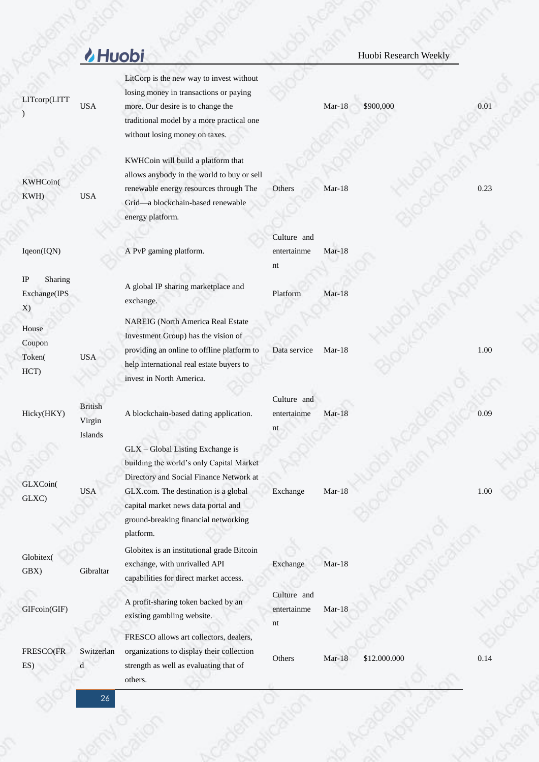|                                     | <b><i>I</i></b> Huobi               |                                                                                                                                                                                                        |                                  |          | Huobi Research Weekly |      |
|-------------------------------------|-------------------------------------|--------------------------------------------------------------------------------------------------------------------------------------------------------------------------------------------------------|----------------------------------|----------|-----------------------|------|
| LITcorp(LITT                        | <b>USA</b>                          | LitCorp is the new way to invest without<br>losing money in transactions or paying<br>more. Our desire is to change the<br>traditional model by a more practical one<br>without losing money on taxes. |                                  | Mar-18   | \$900,000             | 0.01 |
| KWHCoin(<br>KWH)                    | <b>USA</b>                          | KWHCoin will build a platform that<br>allows anybody in the world to buy or sell<br>renewable energy resources through The<br>Grid-a blockchain-based renewable<br>energy platform.                    | Others                           | $Mar-18$ |                       | 0.23 |
| Iqeon(IQN)                          |                                     | A PvP gaming platform.                                                                                                                                                                                 | Culture and<br>entertainme       | Mar-18   |                       |      |
|                                     |                                     |                                                                                                                                                                                                        | nt                               |          |                       |      |
| IP<br>Sharing<br>Exchange(IPS<br>X) |                                     | A global IP sharing marketplace and<br>exchange.                                                                                                                                                       | Platform                         | Mar-18   |                       |      |
| House<br>Coupon<br>Token(<br>HCT)   | <b>USA</b>                          | <b>NAREIG</b> (North America Real Estate<br>Investment Group) has the vision of<br>providing an online to offline platform to<br>help international real estate buyers to<br>invest in North America.  | Data service                     | $Mar-18$ |                       | 1.00 |
| Hicky(HKY)                          | <b>British</b><br>Virgin<br>Islands | A blockchain-based dating application.                                                                                                                                                                 | Culture and<br>entertainme<br>nt | $Mar-18$ |                       | 0.09 |
| GLXCoin(<br>GLXC)                   | <b>USA</b>                          | GLX - Global Listing Exchange is<br>building the world's only Capital Market<br>Directory and Social Finance Network at<br>GLX.com. The destination is a global<br>capital market news data portal and | Exchange                         | $Mar-18$ |                       | 1.00 |
|                                     |                                     | ground-breaking financial networking<br>platform.                                                                                                                                                      |                                  |          |                       |      |
| Globitex(<br>GBX)                   | Gibraltar                           | Globitex is an institutional grade Bitcoin<br>exchange, with unrivalled API<br>capabilities for direct market access.                                                                                  | Exchange                         | $Mar-18$ |                       |      |
| GIFcoin(GIF)                        |                                     | A profit-sharing token backed by an<br>existing gambling website.                                                                                                                                      | Culture and<br>entertainme<br>nt | $Mar-18$ |                       |      |
|                                     |                                     | FRESCO allows art collectors, dealers,                                                                                                                                                                 |                                  |          |                       |      |
| FRESCO(FR<br>ES)                    | Switzerlan<br>d                     | organizations to display their collection<br>strength as well as evaluating that of                                                                                                                    | Others                           | Mar-18   | \$12.000.000          | 0.14 |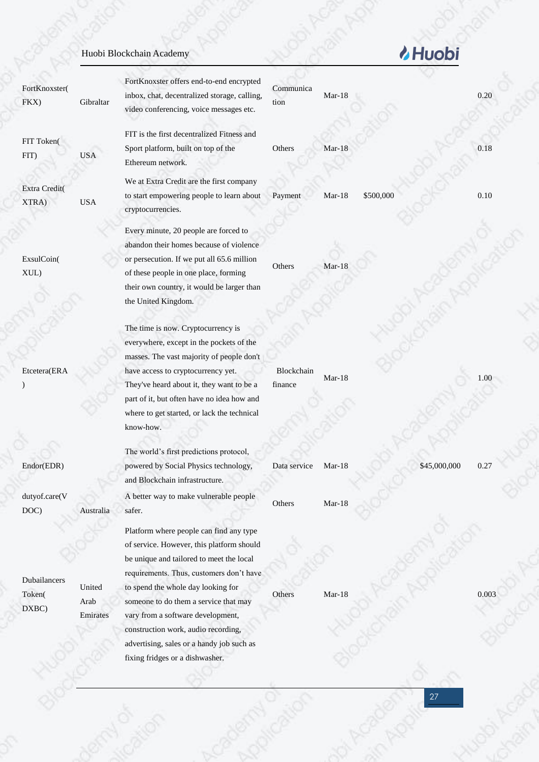| FortKnoxster(<br>FKX)           | Gibraltar                  | FortKnoxster offers end-to-end encrypted<br>inbox, chat, decentralized storage, calling,<br>video conferencing, voice messages etc.                                                                                                                                                                                                                                                                                     | Communica<br>tion     | $Mar-18$ |              | 0.20  |
|---------------------------------|----------------------------|-------------------------------------------------------------------------------------------------------------------------------------------------------------------------------------------------------------------------------------------------------------------------------------------------------------------------------------------------------------------------------------------------------------------------|-----------------------|----------|--------------|-------|
| FIT Token(<br>FIT)              | <b>USA</b>                 | FIT is the first decentralized Fitness and<br>Sport platform, built on top of the<br>Ethereum network.                                                                                                                                                                                                                                                                                                                  | Others                | Mar-18   |              | 0.18  |
| Extra Credit(<br>XTRA)          | <b>USA</b>                 | We at Extra Credit are the first company<br>to start empowering people to learn about<br>cryptocurrencies.                                                                                                                                                                                                                                                                                                              | Payment               | $Mar-18$ | \$500,000    | 0.10  |
| ExsulCoin(<br>XUL)              |                            | Every minute, 20 people are forced to<br>abandon their homes because of violence<br>or persecution. If we put all 65.6 million<br>of these people in one place, forming<br>their own country, it would be larger than<br>the United Kingdom.                                                                                                                                                                            | Others                | $Mar-18$ |              |       |
| Etcetera(ERA                    |                            | The time is now. Cryptocurrency is<br>everywhere, except in the pockets of the<br>masses. The vast majority of people don't<br>have access to cryptocurrency yet.<br>They've heard about it, they want to be a<br>part of it, but often have no idea how and<br>where to get started, or lack the technical<br>know-how.                                                                                                | Blockchain<br>finance | $Mar-18$ |              | 1.00  |
| Endor(EDR)                      |                            | The world's first predictions protocol,<br>powered by Social Physics technology,<br>and Blockchain infrastructure.                                                                                                                                                                                                                                                                                                      | Data service          | $Mar-18$ | \$45,000,000 | 0.27  |
| dutyof.care(V<br>DOC)           | Australia                  | A better way to make vulnerable people<br>safer.                                                                                                                                                                                                                                                                                                                                                                        | Others                | $Mar-18$ |              |       |
| Dubailancers<br>Token(<br>DXBC) | United<br>Arab<br>Emirates | Platform where people can find any type<br>of service. However, this platform should<br>be unique and tailored to meet the local<br>requirements. Thus, customers don't have<br>to spend the whole day looking for<br>someone to do them a service that may<br>vary from a software development,<br>construction work, audio recording,<br>advertising, sales or a handy job such as<br>fixing fridges or a dishwasher. | Others                | $Mar-18$ |              | 0.003 |
|                                 |                            |                                                                                                                                                                                                                                                                                                                                                                                                                         |                       |          | 27           |       |

& Huobi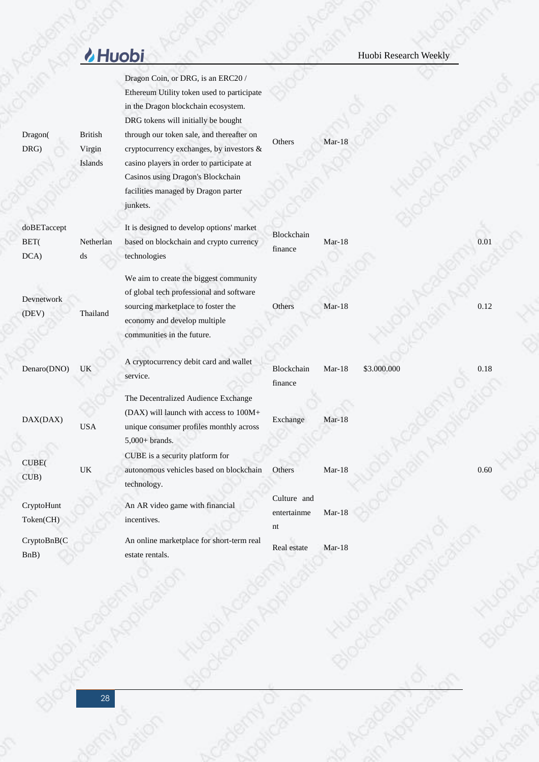|                             | <b><i>M</i></b> Huobi               |                                                                                                                                                                                                                            |                                  |          | Huobi Research Weekly |      |
|-----------------------------|-------------------------------------|----------------------------------------------------------------------------------------------------------------------------------------------------------------------------------------------------------------------------|----------------------------------|----------|-----------------------|------|
|                             |                                     | Dragon Coin, or DRG, is an ERC20 /<br>Ethereum Utility token used to participate<br>in the Dragon blockchain ecosystem.<br>DRG tokens will initially be bought                                                             |                                  |          |                       |      |
| Dragon(<br>DRG)             | <b>British</b><br>Virgin<br>Islands | through our token sale, and thereafter on<br>cryptocurrency exchanges, by investors &<br>casino players in order to participate at<br>Casinos using Dragon's Blockchain<br>facilities managed by Dragon parter<br>junkets. | Others                           | $Mar-18$ |                       |      |
| doBETaccept<br>BET(<br>DCA) | Netherlan<br>ds                     | It is designed to develop options' market<br>based on blockchain and crypto currency<br>technologies                                                                                                                       | Blockchain<br>finance            | $Mar-18$ |                       | 0.01 |
| Devnetwork<br>(DEV)         | Thailand                            | We aim to create the biggest community<br>of global tech professional and software<br>sourcing marketplace to foster the<br>economy and develop multiple<br>communities in the future.                                     | Others                           | $Mar-18$ |                       | 0.12 |
| Denaro(DNO)                 | UK                                  | A cryptocurrency debit card and wallet<br>service.                                                                                                                                                                         | Blockchain<br>finance            | Mar-18   | \$3.000.000           | 0.18 |
| DAX(DAX)                    | $_{\mathrm{USA}}$                   | The Decentralized Audience Exchange<br>(DAX) will launch with access to 100M+<br>unique consumer profiles monthly across<br>$5,000+$ brands.                                                                               | Exchange                         | $Mar-18$ |                       |      |
| CUBE(<br>CUB)               | $\ensuremath{\mathsf{UK}}\xspace$   | CUBE is a security platform for<br>autonomous vehicles based on blockchain<br>technology.                                                                                                                                  | Others                           | $Mar-18$ |                       | 0.60 |
| CryptoHunt<br>Token(CH)     |                                     | An AR video game with financial<br>incentives.                                                                                                                                                                             | Culture and<br>entertainme<br>nt | $Mar-18$ |                       |      |
| CryptoBnB(C<br>BnB)         |                                     | An online marketplace for short-term real<br>estate rentals.                                                                                                                                                               | Real estate                      | $Mar-18$ |                       |      |
|                             |                                     |                                                                                                                                                                                                                            |                                  |          |                       |      |

Acabestration

Journalism of the paint

**Hugoi** Agin A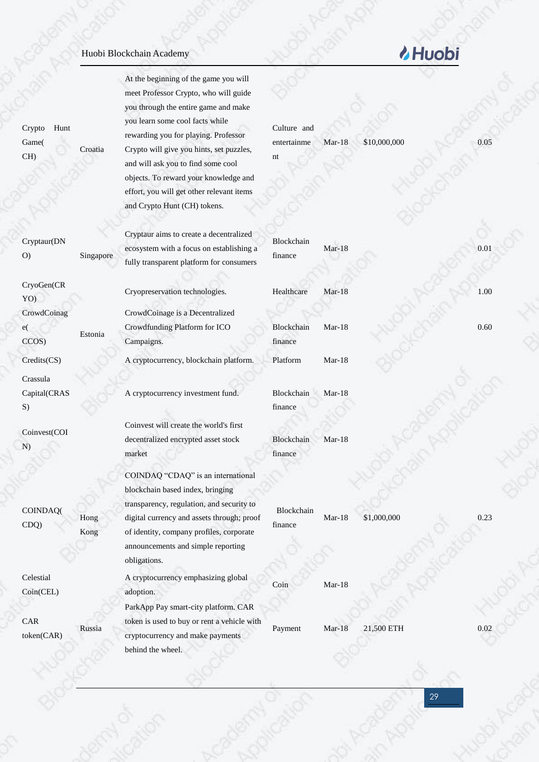At the beginning of the game you will meet Professor Crypto, who will guide you through the entire game and make you learn some cool facts while rewarding you for playing. Professor Crypto will give you hints, set puzzles, and will ask you to find some cool objects. To reward your knowledge and effort, you will get other relevant items and Crypto Hunt (CH) tokens.

Cryptaur aims to create a decentralized ecosystem with a focus on establishing a fully transparent platform for consumers

Cryopreservation technologies. Healthcare Mar-18 1.00

CrowdCoinage is a Decentralized Crowdfunding Platform for ICO Campaigns.

Credits(CS) A cryptocurrency, blockchain platform. Platform Mar-18

A cryptocurrency investment fund.

Coinvest will create the world's first decentralized encrypted asset stock market

COINDAQ "CDAQ" is an international blockchain based index, bringing transparency, regulation, and security to digital currency and assets through; proof of identity, company profiles, corporate announcements and simple reporting obligations.

A cryptocurrency emphasizing global adoption. ParkApp Pay smart-city platform. CAR token is used to buy or rent a vehicle with

cryptocurrency and make payments

behind the wheel.

### entertainme nt Mar-18 \$10,000,000 0.05

Culture and

Blockchain finance

Blockchain finance Mar-18 0.60

Blockchain finance Mar-18

Blockchain finance Mar-18

Blockchain finance

Mar-18 \$1,000,000 0.23

Coin Mar-18

Payment Mar-18 21,500 ETH 0.02

### Crypto Hunt Game( CH) Croatia

Cryptaur(DN O) Singapore

CryoGen(CR YO) **CrowdCoinag** e( CCOS) Estonia Crassula Capital(CRAS

S)

Coinvest(COI N)

COINDAQ( CDQ)

Hong Kong

Russia

Celestial Coin(CEL)

CAR token(CAR) Mar-18 0.01

# *MHuobi*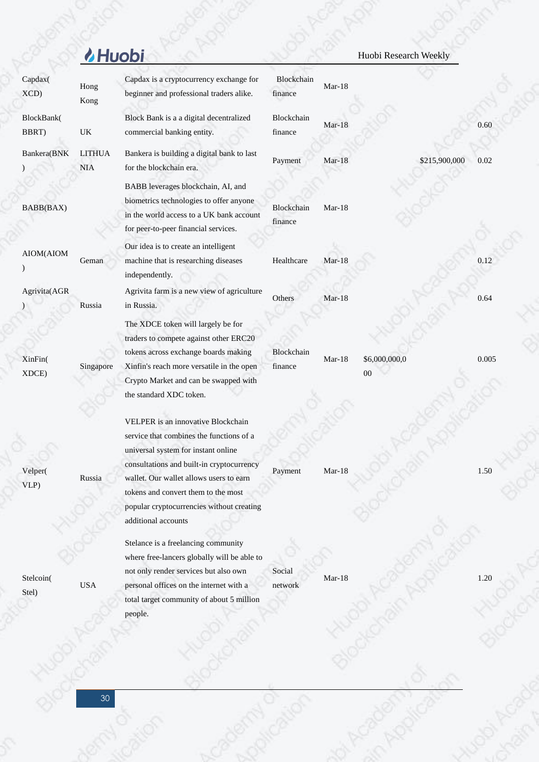|                     | <b><i>MHuobi</i></b>        |                                                                                                                                                                                                                                                                                                                          |                       |          | Huobi Research Weekly   |       |
|---------------------|-----------------------------|--------------------------------------------------------------------------------------------------------------------------------------------------------------------------------------------------------------------------------------------------------------------------------------------------------------------------|-----------------------|----------|-------------------------|-------|
| Capdax(<br>XCD      | Hong<br>Kong                | Capdax is a cryptocurrency exchange for<br>beginner and professional traders alike.                                                                                                                                                                                                                                      | Blockchain<br>finance | $Mar-18$ |                         |       |
| BlockBank(<br>BBRT) | UK                          | Block Bank is a a digital decentralized<br>commercial banking entity.                                                                                                                                                                                                                                                    | Blockchain<br>finance | $Mar-18$ |                         | 0.60  |
| Bankera(BNK         | <b>LITHUA</b><br><b>NIA</b> | Bankera is building a digital bank to last<br>for the blockchain era.                                                                                                                                                                                                                                                    | Payment               | $Mar-18$ | \$215,900,000           | 0.02  |
| BABB(BAX)           |                             | BABB leverages blockchain, AI, and<br>biometrics technologies to offer anyone<br>in the world access to a UK bank account<br>for peer-to-peer financial services.                                                                                                                                                        | Blockchain<br>finance | $Mar-18$ |                         |       |
| AIOM(AIOM           | Geman                       | Our idea is to create an intelligent<br>machine that is researching diseases<br>independently.                                                                                                                                                                                                                           | Healthcare            | Mar-18   |                         | 0.12  |
| Agrivita(AGR        | Russia                      | Agrivita farm is a new view of agriculture<br>in Russia.                                                                                                                                                                                                                                                                 | Others                | $Mar-18$ |                         | 0.64  |
| XinFin(<br>XDCE)    | Singapore                   | The XDCE token will largely be for<br>traders to compete against other ERC20<br>tokens across exchange boards making<br>Xinfin's reach more versatile in the open<br>Crypto Market and can be swapped with<br>the standard XDC token.                                                                                    | Blockchain<br>finance | $Mar-18$ | \$6,000,000,0<br>$00\,$ | 0.005 |
| Velper(<br>VLP)     | Russia                      | VELPER is an innovative Blockchain<br>service that combines the functions of a<br>universal system for instant online<br>consultations and built-in cryptocurrency<br>wallet. Our wallet allows users to earn<br>tokens and convert them to the most<br>popular cryptocurrencies without creating<br>additional accounts | Payment               | $Mar-18$ |                         | 1.50  |
| Stelcoin(<br>Stel)  | <b>USA</b>                  | Stelance is a freelancing community<br>where free-lancers globally will be able to<br>not only render services but also own<br>personal offices on the internet with a<br>total target community of about 5 million<br>people.                                                                                           | Social<br>network     | $Mar-18$ |                         | 1.20  |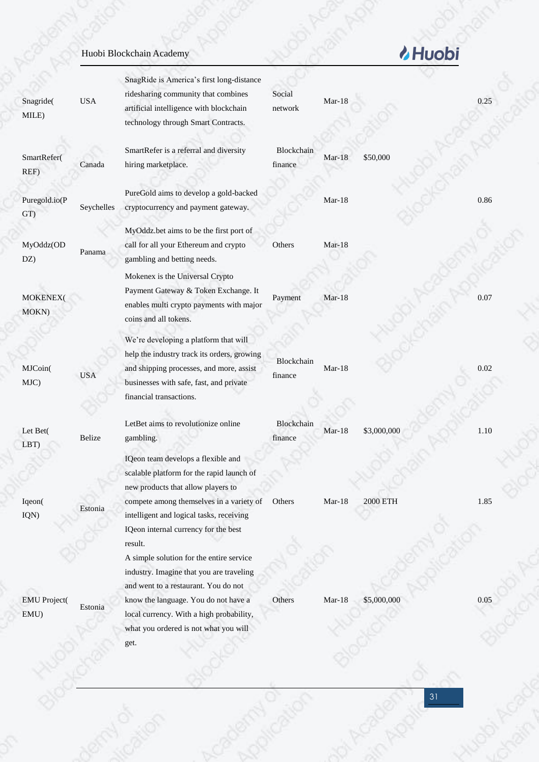|                             |            | Huobi Blockchain Academy                                                                                                                                                                                                                                                |                       |          | <b>/</b> Huobi  |      |
|-----------------------------|------------|-------------------------------------------------------------------------------------------------------------------------------------------------------------------------------------------------------------------------------------------------------------------------|-----------------------|----------|-----------------|------|
| Snagride(<br>MILE)          | <b>USA</b> | SnagRide is America's first long-distance<br>ridesharing community that combines<br>artificial intelligence with blockchain<br>technology through Smart Contracts.                                                                                                      | Social<br>network     | $Mar-18$ |                 | 0.25 |
| SmartRefer(<br>REF)         | Canada     | SmartRefer is a referral and diversity<br>hiring marketplace.                                                                                                                                                                                                           | Blockchain<br>finance | $Mar-18$ | \$50,000        |      |
| Puregold.io(P<br>GT)        | Seychelles | PureGold aims to develop a gold-backed<br>cryptocurrency and payment gateway.                                                                                                                                                                                           |                       | $Mar-18$ |                 | 0.86 |
| MyOddz(OD<br>DZ)            | Panama     | MyOddz.bet aims to be the first port of<br>call for all your Ethereum and crypto<br>gambling and betting needs.                                                                                                                                                         | Others                | Mar-18   |                 |      |
| MOKENEX(<br>MOKN)           |            | Mokenex is the Universal Crypto<br>Payment Gateway & Token Exchange. It<br>enables multi crypto payments with major<br>coins and all tokens.                                                                                                                            | Payment               | $Mar-18$ |                 | 0.07 |
| MJCoin(<br>MJC)             | <b>USA</b> | We're developing a platform that will<br>help the industry track its orders, growing<br>and shipping processes, and more, assist<br>businesses with safe, fast, and private<br>financial transactions.                                                                  | Blockchain<br>finance | $Mar-18$ |                 | 0.02 |
| Let Bet(<br>LBT)            | Belize     | LetBet aims to revolutionize online<br>gambling.                                                                                                                                                                                                                        | Blockchain<br>finance | Mar-18   | \$3,000,000     | 1.10 |
|                             |            | IQeon team develops a flexible and<br>scalable platform for the rapid launch of<br>new products that allow players to                                                                                                                                                   |                       |          |                 |      |
| Iqeon(<br>IQN)              | Estonia    | compete among themselves in a variety of<br>intelligent and logical tasks, receiving<br>IQeon internal currency for the best<br>result.<br>A simple solution for the entire service<br>industry. Imagine that you are traveling<br>and went to a restaurant. You do not | Others                | Mar-18   | <b>2000 ETH</b> | 1.85 |
| <b>EMU</b> Project(<br>EMU) | Estonia    | know the language. You do not have a<br>local currency. With a high probability,<br>what you ordered is not what you will                                                                                                                                               | Others                | $Mar-18$ | \$5,000,000     | 0.05 |

Acceptance Avenue

31

Hugo Kain J